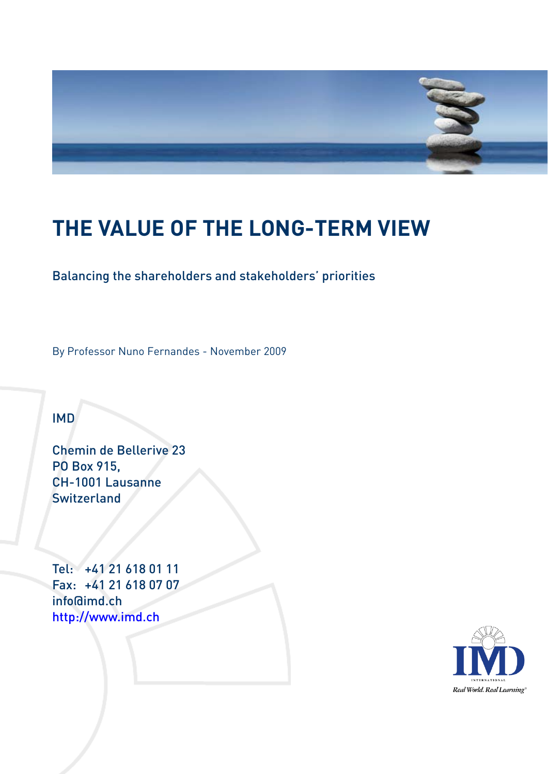

# **THE VALUE OF THE LONG-TERM VIEW**

### Balancing the shareholders and stakeholders' priorities

By Professor Nuno Fernandes - November 2009

## IMD

Chemin de Bellerive 23 PO Box 915, CH-1001 Lausanne **Switzerland** 

Tel: +41 21 618 01 11 Fax: +41 21 618 07 07 info@imd.ch http://www.imd.ch

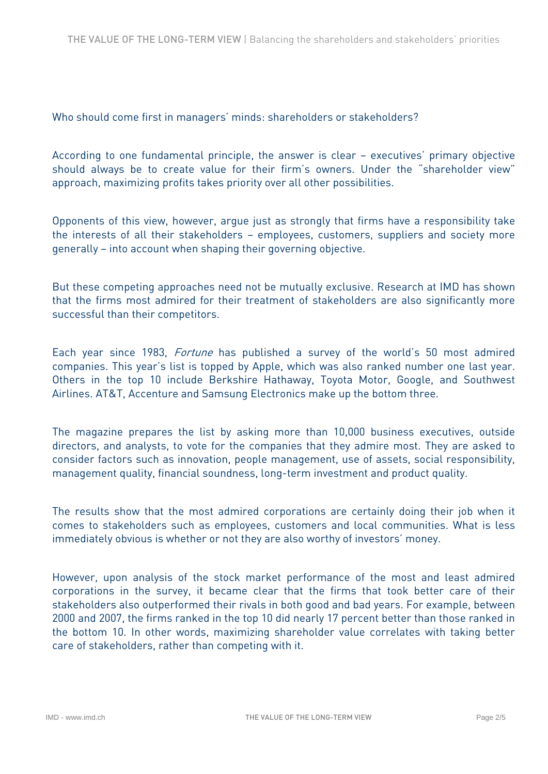Who should come first in managers' minds: shareholders or stakeholders?

According to one fundamental principle, the answer is clear – executives' primary objective should always be to create value for their firm's owners. Under the "shareholder view" approach, maximizing profits takes priority over all other possibilities.

Opponents of this view, however, argue just as strongly that firms have a responsibility take the interests of all their stakeholders – employees, customers, suppliers and society more generally – into account when shaping their governing objective.

But these competing approaches need not be mutually exclusive. Research at IMD has shown that the firms most admired for their treatment of stakeholders are also significantly more successful than their competitors.

Each year since 1983, Fortune has published a survey of the world's 50 most admired companies. This year's list is topped by Apple, which was also ranked number one last year. Others in the top 10 include Berkshire Hathaway, Toyota Motor, Google, and Southwest Airlines. AT&T, Accenture and Samsung Electronics make up the bottom three.

The magazine prepares the list by asking more than 10,000 business executives, outside directors, and analysts, to vote for the companies that they admire most. They are asked to consider factors such as innovation, people management, use of assets, social responsibility, management quality, financial soundness, long-term investment and product quality.

The results show that the most admired corporations are certainly doing their job when it comes to stakeholders such as employees, customers and local communities. What is less immediately obvious is whether or not they are also worthy of investors' money.

However, upon analysis of the stock market performance of the most and least admired corporations in the survey, it became clear that the firms that took better care of their stakeholders also outperformed their rivals in both good and bad years. For example, between 2000 and 2007, the firms ranked in the top 10 did nearly 17 percent better than those ranked in the bottom 10. In other words, maximizing shareholder value correlates with taking better care of stakeholders, rather than competing with it.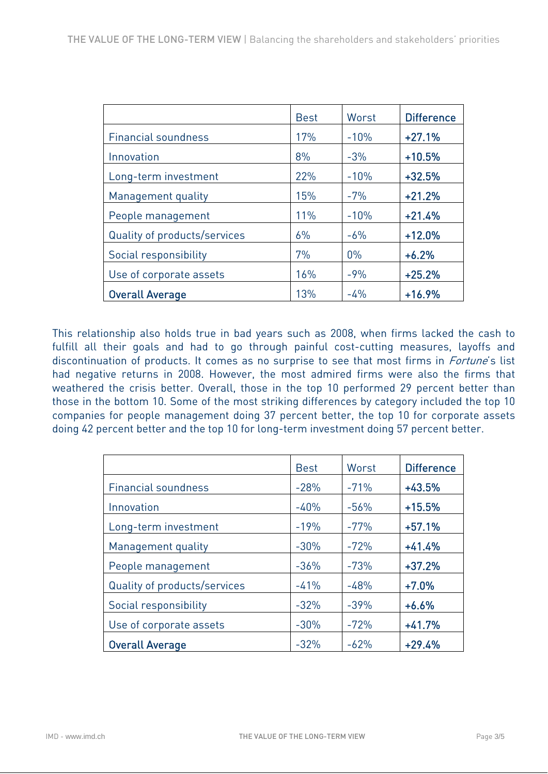|                              | <b>Best</b> | Worst  | <b>Difference</b> |
|------------------------------|-------------|--------|-------------------|
| <b>Financial soundness</b>   | 17%         | $-10%$ | $+27.1%$          |
| Innovation                   | 8%          | $-3%$  | $+10.5%$          |
| Long-term investment         | 22%         | $-10%$ | $+32.5%$          |
| Management quality           | 15%         | $-7%$  | $+21.2%$          |
| People management            | 11%         | $-10%$ | $+21.4%$          |
| Quality of products/services | 6%          | $-6%$  | $+12.0%$          |
| Social responsibility        | 7%          | $0\%$  | $+6.2%$           |
| Use of corporate assets      | 16%         | $-9%$  | $+25.2%$          |
| <b>Overall Average</b>       | 13%         | $-4%$  | $+16.9%$          |

This relationship also holds true in bad years such as 2008, when firms lacked the cash to fulfill all their goals and had to go through painful cost-cutting measures, layoffs and discontinuation of products. It comes as no surprise to see that most firms in *Fortune's* list had negative returns in 2008. However, the most admired firms were also the firms that weathered the crisis better. Overall, those in the top 10 performed 29 percent better than those in the bottom 10. Some of the most striking differences by category included the top 10 companies for people management doing 37 percent better, the top 10 for corporate assets doing 42 percent better and the top 10 for long-term investment doing 57 percent better.

|                              | <b>Best</b> | Worst  | <b>Difference</b> |
|------------------------------|-------------|--------|-------------------|
| Financial soundness          | $-28%$      | $-71%$ | $+43.5%$          |
| Innovation                   | $-40%$      | $-56%$ | $+15.5%$          |
| Long-term investment         | $-19%$      | $-77%$ | $+57.1%$          |
| Management quality           | $-30%$      | $-72%$ | $+41.4%$          |
| People management            | $-36%$      | $-73%$ | $+37.2%$          |
| Quality of products/services | $-41%$      | $-48%$ | $+7.0%$           |
| Social responsibility        | $-32%$      | $-39%$ | $+6.6%$           |
| Use of corporate assets      | $-30%$      | $-72%$ | $+41.7%$          |
| <b>Overall Average</b>       | $-32%$      | $-62%$ | $+29.4%$          |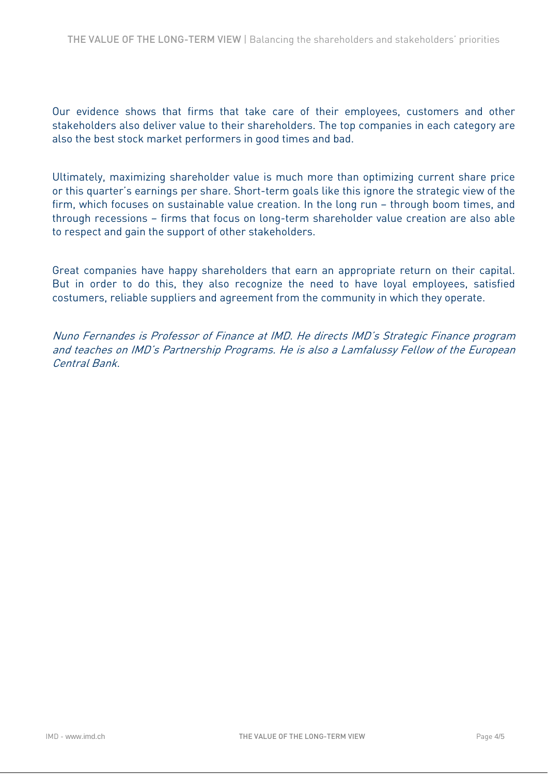Our evidence shows that firms that take care of their employees, customers and other stakeholders also deliver value to their shareholders. The top companies in each category are also the best stock market performers in good times and bad.

Ultimately, maximizing shareholder value is much more than optimizing current share price or this quarter's earnings per share. Short-term goals like this ignore the strategic view of the firm, which focuses on sustainable value creation. In the long run – through boom times, and through recessions – firms that focus on long-term shareholder value creation are also able to respect and gain the support of other stakeholders.

Great companies have happy shareholders that earn an appropriate return on their capital. But in order to do this, they also recognize the need to have loyal employees, satisfied costumers, reliable suppliers and agreement from the community in which they operate.

Nuno Fernandes is Professor of Finance at IMD. He directs IMD's Strategic Finance program and teaches on IMD's Partnership Programs. He is also a Lamfalussy Fellow of the European Central Bank.